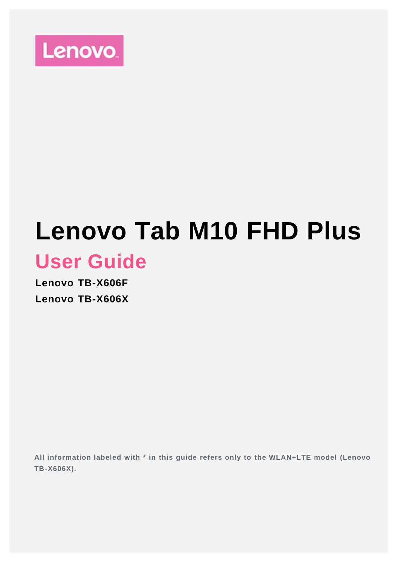

# **Lenovo Tab M10 FHD Plus User Guide**

**Lenovo TB-X606F Lenovo TB-X606X**

**All information labeled with \* in this guide refers only to the WLAN+LTE model (Lenovo TB-X606X).**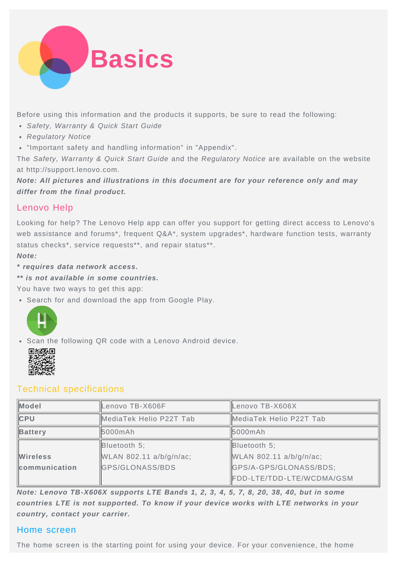

Before using this information and the products it supports, be sure to read the following:

- *Safety, Warranty & Quick Start Guide*
- *Regulatory Notice*
- "Important safety and handling information" in "Appendix".

The *Safety, Warranty & Quick Start Guide* and the *Regulatory Notice* are available on the website at http://support.lenovo.com.

*Note: All pictures and illustrations in this document are for your reference only and may differ from the final product.*

# Lenovo Help

Looking for help? The Lenovo Help app can offer you support for getting direct access to Lenovo's web assistance and forums<sup>\*</sup>, frequent Q&A<sup>\*</sup>, system upgrades<sup>\*</sup>, hardware function tests, warranty status checks\*, service requests\*\*, and repair status\*\*.

*Note:*

- *\* requires data network access.*
- *\*\* is not available in some countries.*

You have two ways to get this app:

Search for and download the app from Google Play.



Scan the following QR code with a Lenovo Android device.



# Technical specifications

| <b>Model</b>    | Lenovo TB-X606F<br>Lenovo TB-X606X |                           |  |  |
|-----------------|------------------------------------|---------------------------|--|--|
| <b>CPU</b>      | MediaTek Helio P22T Tab            | MediaTek Helio P22T Tab   |  |  |
| Battery         | 5000mAh                            | 5000mAh                   |  |  |
|                 | Bluetooth 5;                       | Bluetooth 5;              |  |  |
| <b>Wireless</b> | WLAN 802.11 a/b/g/n/ac;            | WLAN 802.11 a/b/g/n/ac;   |  |  |
| communication   | GPS/GLONASS/BDS                    | GPS/A-GPS/GLONASS/BDS;    |  |  |
|                 |                                    | FDD-LTE/TDD-LTE/WCDMA/GSM |  |  |

*Note: Lenovo TB-X606X supports LTE Bands 1, 2, 3, 4, 5, 7, 8, 20, 38, 40, but in some countries LTE is not supported. To know if your device works with LTE networks in your country, contact your carrier.*

## Home screen

The home screen is the starting point for using your device. For your convenience, the home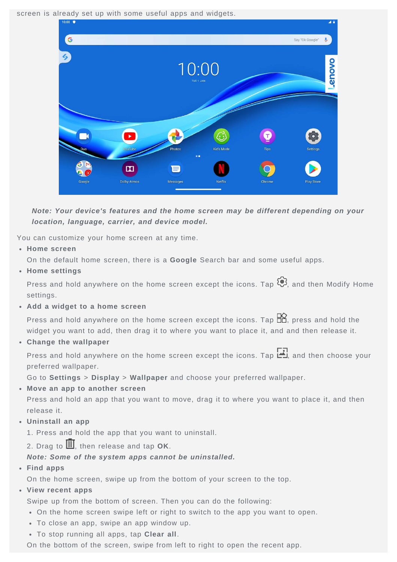screen is already set up with some useful apps and widgets.



*Note: Your device's features and the home screen may be different depending on your location, language, carrier, and device model.*

You can customize your home screen at any time.

**Home screen**

On the default home screen, there is a **Google** Search bar and some useful apps.

**Home settings**

Press and hold anywhere on the home screen except the icons. Tap  $\mathbb{Q}$ , and then Modify Home settings.

**Add a widget to a home screen**

Press and hold anywhere on the home screen except the icons. Tap  $\Box$ , press and hold the widget you want to add, then drag it to where you want to place it, and and then release it.

**Change the wallpaper**

Press and hold anywhere on the home screen except the icons. Tap  $\Box$  and then choose your preferred wallpaper.

Go to **Settings** > **Display** > **Wallpaper** and choose your preferred wallpaper.

**Move an app to another screen**

Press and hold an app that you want to move, drag it to where you want to place it, and then release it.

**Uninstall an app**

1. Press and hold the app that you want to uninstall.

2. Drag to  $\overline{III}$ , then release and tap OK.

#### *Note: Some of the system apps cannot be uninstalled.*

**Find apps**

On the home screen, swipe up from the bottom of your screen to the top.

**View recent apps**

Swipe up from the bottom of screen. Then you can do the following:

- On the home screen swipe left or right to switch to the app you want to open.
- To close an app, swipe an app window up.
- To stop running all apps, tap **Clear all**.

On the bottom of the screen, swipe from left to right to open the recent app.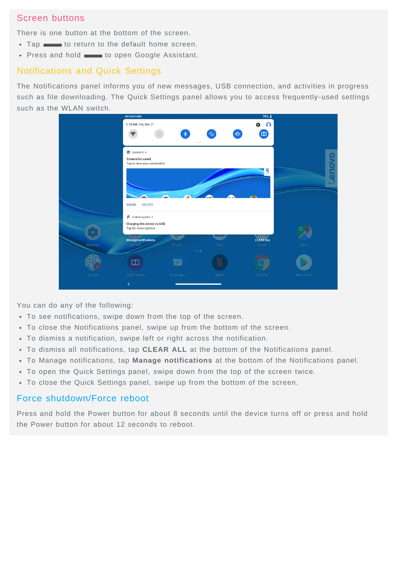# Screen buttons

There is one button at the bottom of the screen.

- Tap  $\longrightarrow$  to return to the default home screen.
- Press and hold to open Google Assistant.

## Notifications and Quick Settings

The Notifications panel informs you of new messages, USB connection, and activities in progress such as file downloading. The Quick Settings panel allows you to access frequently-used settings such as the WLAN switch.

|                 | <b>NO SIM CARD</b>           |                                                                               |                                                             | 79% 自               |                             |       |
|-----------------|------------------------------|-------------------------------------------------------------------------------|-------------------------------------------------------------|---------------------|-----------------------------|-------|
|                 | 1:15 AM Sat, Mar 21          |                                                                               |                                                             | $\Omega$<br>÷       |                             |       |
|                 |                              | $\pmb{\ast}$                                                                  |                                                             | $\boxed{10}$        |                             |       |
|                 |                              |                                                                               |                                                             |                     |                             |       |
|                 |                              |                                                                               |                                                             |                     |                             |       |
|                 |                              |                                                                               |                                                             |                     |                             | enovo |
|                 |                              |                                                                               |                                                             |                     |                             |       |
|                 |                              |                                                                               |                                                             |                     |                             |       |
|                 |                              |                                                                               |                                                             |                     |                             |       |
|                 | SHARE<br>DELETE              |                                                                               |                                                             |                     |                             |       |
|                 | $\rho$ Android System $\sim$ |                                                                               |                                                             |                     |                             |       |
|                 | Tap for more options.        |                                                                               |                                                             |                     |                             |       |
|                 |                              |                                                                               |                                                             |                     |                             |       |
| <b>Settings</b> | Camera                       | Photos                                                                        | Files                                                       | Gmail               | Maps                        |       |
|                 |                              |                                                                               |                                                             |                     |                             |       |
|                 |                              |                                                                               |                                                             |                     |                             |       |
| Google          | Dolby Atmos                  | Messages                                                                      | Netflix                                                     | Chrome              | Play Store                  |       |
|                 | K                            |                                                                               |                                                             |                     |                             |       |
|                 |                              | System UI ^<br>Screenshot saved<br>Manage notifications<br>$\boldsymbol{\Xi}$ | Tap to view your screenshot<br>Charging this device via USB | $\alpha \pm \alpha$ | 心<br>ত্<br><b>CLEAR ALL</b> |       |

You can do any of the following:

- To see notifications, swipe down from the top of the screen.
- To close the Notifications panel, swipe up from the bottom of the screen.
- To dismiss a notification, swipe left or right across the notification.
- To dismiss all notifications, tap **CLEAR ALL** at the bottom of the Notifications panel.
- To Manage notifications, tap **Manage notifications** at the bottom of the Notifications panel.
- To open the Quick Settings panel, swipe down from the top of the screen twice.
- To close the Quick Settings panel, swipe up from the bottom of the screen.

## Force shutdown/Force reboot

Press and hold the Power button for about 8 seconds until the device turns off or press and hold the Power button for about 12 seconds to reboot.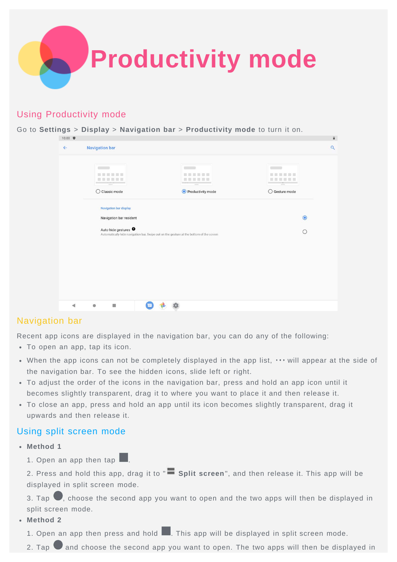

## Using Productivity mode

Go to **Settings** > **Display** > **Navigation bar** > **Productivity mode** to turn it on.

| 10:00        |                                                                                                                            |                                              |                         | ä        |
|--------------|----------------------------------------------------------------------------------------------------------------------------|----------------------------------------------|-------------------------|----------|
| $\leftarrow$ | <b>Navigation bar</b>                                                                                                      |                                              |                         | $\alpha$ |
|              | $\sim$ $\sim$<br>田 田 田 田 田 田<br>m M<br>The Williams                                                                        | <b>Contract</b><br>音音画<br>DENOCH<br>$\equiv$ | -2.                     |          |
|              | $\bigcirc$ Classic mode                                                                                                    | Productivity mode                            | $\bigcirc$ Gesture mode |          |
|              | Navigation bar display                                                                                                     |                                              |                         |          |
|              | Navigation bar resident                                                                                                    | $\bullet$                                    |                         |          |
|              | Auto-hide gestures <sup>O</sup><br>Automatically hide navigation bar, Swipe out on the gesture at the bottom of the screen | $\circ$                                      |                         |          |
|              |                                                                                                                            |                                              |                         |          |
|              |                                                                                                                            |                                              |                         |          |
|              |                                                                                                                            |                                              |                         |          |
|              |                                                                                                                            |                                              |                         |          |
|              |                                                                                                                            |                                              |                         |          |
| ∢            | T<br>۰                                                                                                                     |                                              |                         |          |
|              |                                                                                                                            |                                              |                         |          |

## Navigation bar

Recent app icons are displayed in the navigation bar, you can do any of the following:

- To open an app, tap its icon.
- When the app icons can not be completely displayed in the app list,  $\cdots$  will appear at the side of the navigation bar. To see the hidden icons, slide left or right.
- To adjust the order of the icons in the navigation bar, press and hold an app icon until it becomes slightly transparent, drag it to where you want to place it and then release it.
- To close an app, press and hold an app until its icon becomes slightly transparent, drag it upwards and then release it.

#### Using split screen mode

- **Method 1**
	- 1. Open an app then tap  $\Box$ .

2. Press and hold this app, drag it to " **Split screen**", and then release it. This app will be displayed in split screen mode.

3. Tap  $\bigcirc$ , choose the second app you want to open and the two apps will then be displayed in split screen mode.

**Method 2**

1. Open an app then press and hold **.** This app will be displayed in split screen mode.

2. Tap  $\Box$  and choose the second app you want to open. The two apps will then be displayed in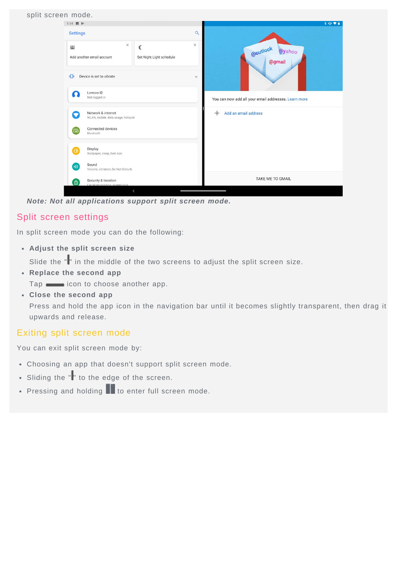

*Note: Not all applications support split screen mode.*

# Split screen settings

In split screen mode you can do the following:

**Adjust the split screen size**

Slide the "" in the middle of the two screens to adjust the split screen size.

**Replace the second app**

Tap icon to choose another app.

**Close the second app**

Press and hold the app icon in the navigation bar until it becomes slightly transparent, then drag it upwards and release.

## Exiting split screen mode

You can exit split screen mode by:

- Choosing an app that doesn't support split screen mode.
- Sliding the "" to the edge of the screen.  $\ddot{\phantom{a}}$
- Pressing and holding  $\blacksquare$  to enter full screen mode.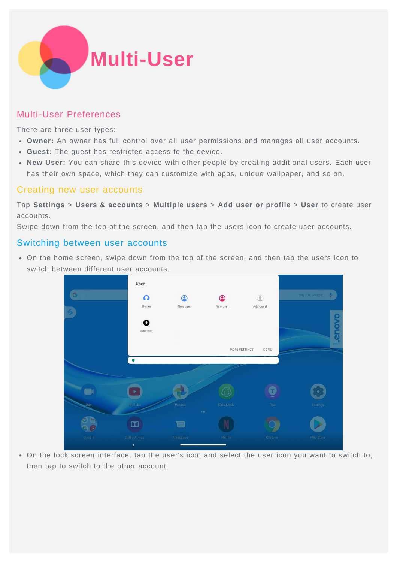

# Multi-User Preferences

There are three user types:

- **Owner:** An owner has full control over all user permissions and manages all user accounts.
- **Guest:** The guest has restricted access to the device.
- **New User:** You can share this device with other people by creating additional users. Each user has their own space, which they can customize with apps, unique wallpaper, and so on.

## Creating new user accounts

Tap **Settings** > **Users & accounts** > **Multiple users** > **Add user or profile** > **User** to create user accounts.

Swipe down from the top of the screen, and then tap the users icon to create user accounts.

#### Switching between user accounts

On the home screen, swipe down from the top of the screen, and then tap the users icon to switch between different user accounts.

![](_page_6_Figure_11.jpeg)

On the lock screen interface, tap the user's icon and select the user icon you want to switch to, then tap to switch to the other account.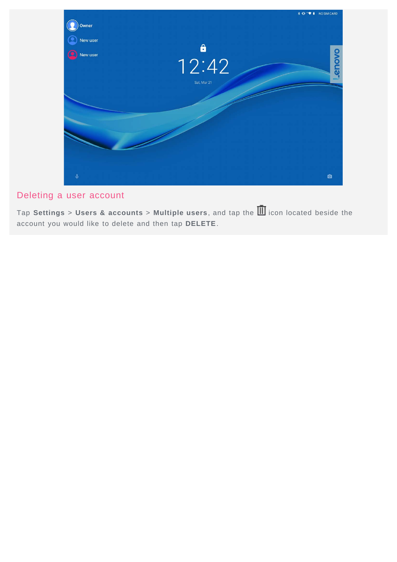![](_page_7_Picture_0.jpeg)

# Deleting a user account

Tap **Settings** > **Users & accounts** > **Multiple users**, and tap the icon located beside the account you would like to delete and then tap **DELETE**.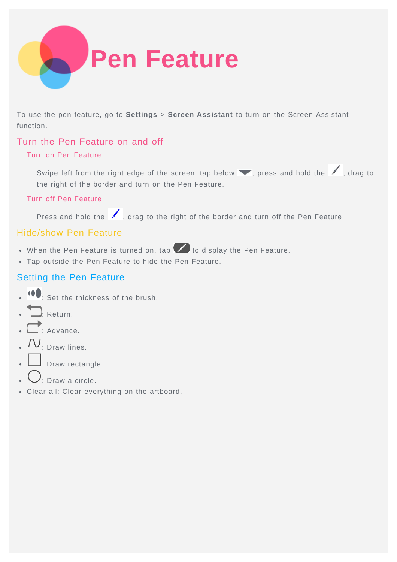![](_page_8_Picture_0.jpeg)

To use the pen feature, go to **Settings** > **Screen Assistant** to turn on the Screen Assistant function.

# Turn the Pen Feature on and off

#### Turn on Pen Feature

Swipe left from the right edge of the screen, tap below , press and hold the , drag to the right of the border and turn on the Pen Feature.

#### Turn off Pen Feature

Press and hold the , drag to the right of the border and turn off the Pen Feature.

## Hide/show Pen Feature

- $\bullet$  When the Pen Feature is turned on, tap  $\bullet$  to display the Pen Feature.
- Tap outside the Pen Feature to hide the Pen Feature.

# Setting the Pen Feature

- .  $\bullet$ : Set the thickness of the brush.
- . Return.
- Advance.
- $IV_{: \text{Draw lines.}}$
- $\Box$ : Draw rectangle.
- ). Draw a circle.
- Clear all: Clear everything on the artboard.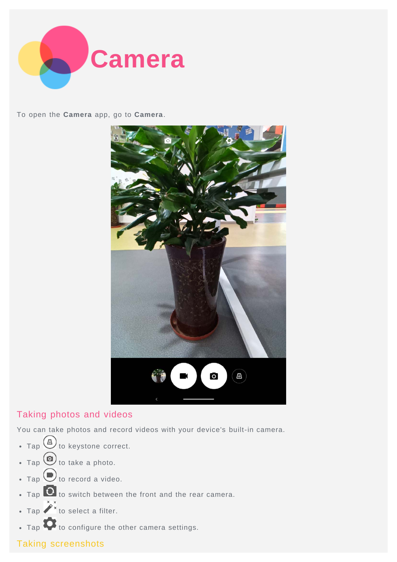![](_page_9_Picture_0.jpeg)

To open the **Camera** app, go to **Camera**.

![](_page_9_Picture_2.jpeg)

# Taking photos and videos

You can take photos and record videos with your device's built-in camera.

- Tap  $\bigoplus$  to keystone correct.
- $\bullet$  Tap  $\bigcirc$  to take a photo.
- $\cdot$  Tap  $\bigodot$  to record a video.
- $\bullet$  Tap  $\bullet$  to switch between the front and the rear camera.
- Tap  $\hat{\ell}$  to select a filter.
- . Tap **to** configure the other camera settings.

# Taking screenshots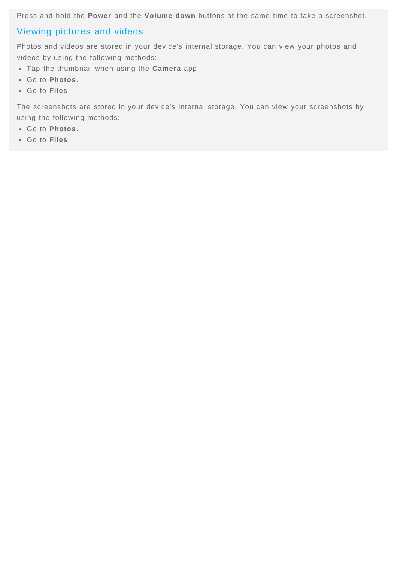Press and hold the **Power** and the **Volume down** buttons at the same time to take a screenshot.

## Viewing pictures and videos

Photos and videos are stored in your device's internal storage. You can view your photos and videos by using the following methods:

- Tap the thumbnail when using the **Camera** app.
- Go to **Photos**.
- Go to **Files**.

The screenshots are stored in your device's internal storage. You can view your screenshots by using the following methods:

- Go to **Photos**.
- Go to **Files**.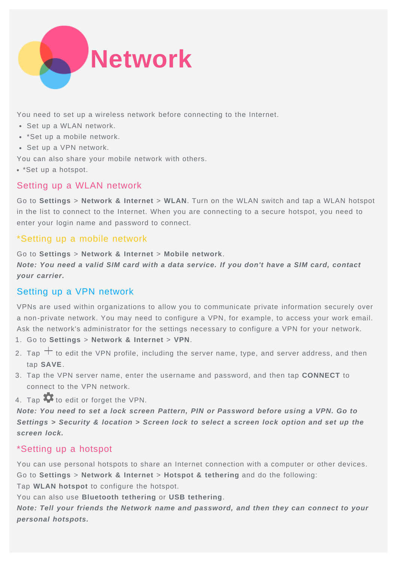![](_page_11_Picture_0.jpeg)

You need to set up a wireless network before connecting to the Internet.

- Set up a WLAN network.
- \*Set up a mobile network.
- Set up a VPN network.

You can also share your mobile network with others.

• \*Set up a hotspot.

## Setting up a WLAN network

Go to **Settings** > **Network & Internet** > **WLAN**. Turn on the WLAN switch and tap a WLAN hotspot in the list to connect to the Internet. When you are connecting to a secure hotspot, you need to enter your login name and password to connect.

## \*Setting up a mobile network

Go to **Settings** > **Network & Internet** > **Mobile network**.

*Note: You need a valid SIM card with a data service. If you don't have a SIM card, contact your carrier.*

# Setting up a VPN network

VPNs are used within organizations to allow you to communicate private information securely over a non-private network. You may need to configure a VPN, for example, to access your work email. Ask the network's administrator for the settings necessary to configure a VPN for your network.

- 1. Go to **Settings** > **Network & Internet** > **VPN**.
- 2. Tap  $+$  to edit the VPN profile, including the server name, type, and server address, and then tap **SAVE**.
- 3. Tap the VPN server name, enter the username and password, and then tap **CONNECT** to connect to the VPN network.
- 4. Tap  $\bullet\bullet$  to edit or forget the VPN.

*Note: You need to set a lock screen Pattern, PIN or Password before using a VPN. Go to Settings > Security & location > Screen lock to select a screen lock option and set up the screen lock.*

# \*Setting up a hotspot

You can use personal hotspots to share an Internet connection with a computer or other devices. Go to **Settings** > **Network & Internet** > **Hotspot & tethering** and do the following:

Tap **WLAN hotspot** to configure the hotspot.

You can also use **Bluetooth tethering** or **USB tethering**.

*Note: Tell your friends the Network name and password, and then they can connect to your personal hotspots.*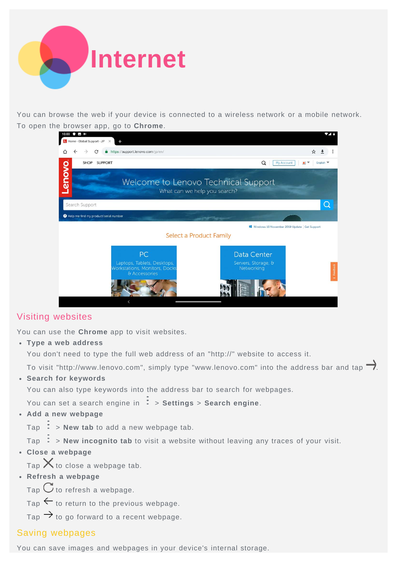![](_page_12_Picture_0.jpeg)

You can browse the web if your device is connected to a wireless network or a mobile network. To open the browser app, go to **Chrome**.

![](_page_12_Picture_2.jpeg)

# Visiting websites

You can use the **Chrome** app to visit websites.

**Type a web address**

You don't need to type the full web address of an "http://" website to access it.

To visit "http://www.lenovo.com", simply type "www.lenovo.com" into the address bar and tap  $\rightarrow$ .

**Search for keywords**

You can also type keywords into the address bar to search for webpages.

You can set a search engine in > **Settings** > **Search engine**.

**Add a new webpage**

Tap  $\div$  > **New tab** to add a new webpage tab.

Tap  $\cdot$  > **New incognito tab** to visit a website without leaving any traces of your visit.

**Close a webpage**

Tap  $\times$  to close a webpage tab.

**Refresh a webpage**

Tap  $G$  to refresh a webpage.

 $Tap \leftarrow$  to return to the previous webpage.

Tap  $\rightarrow$  to go forward to a recent webpage.

## Saving webpages

You can save images and webpages in your device's internal storage.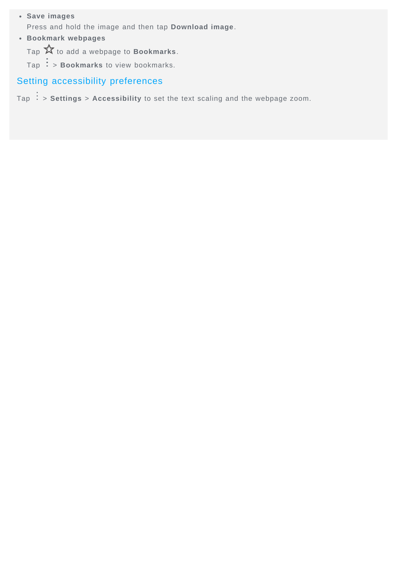- **Save images** Press and hold the image and then tap **Download image**.
- **Bookmark webpages**

Tap  $\overleftrightarrow{\mathbf{x}}$  to add a webpage to **Bookmarks**.

 $\text{Top}$  : > **Bookmarks** to view bookmarks.

# Setting accessibility preferences

Tap  $\frac{1}{x}$  > **Settings** > Accessibility to set the text scaling and the webpage zoom.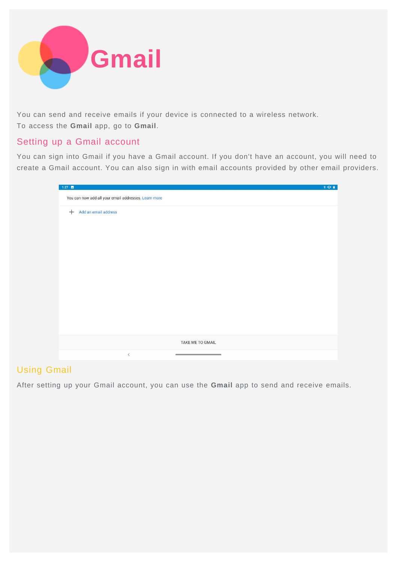![](_page_14_Picture_0.jpeg)

You can send and receive emails if your device is connected to a wireless network. To access the **Gmail** app, go to **Gmail**.

# Setting up a Gmail account

You can sign into Gmail if you have a Gmail account. If you don't have an account, you will need to create a Gmail account. You can also sign in with email accounts provided by other email providers.

| $1:27$ $\Box$ |                                                                                     | 301 |
|---------------|-------------------------------------------------------------------------------------|-----|
|               | You can now add all your email addresses. Learn more                                |     |
| $^{+}$        | Add an email address                                                                |     |
|               |                                                                                     |     |
|               |                                                                                     |     |
|               |                                                                                     |     |
|               |                                                                                     |     |
|               |                                                                                     |     |
|               |                                                                                     |     |
|               |                                                                                     |     |
|               |                                                                                     |     |
|               |                                                                                     |     |
|               |                                                                                     |     |
|               |                                                                                     |     |
|               | TAKE ME TO GMAIL                                                                    |     |
|               | $\,<$<br>the control of the control of the control of the control of the control of |     |

# Using Gmail

After setting up your Gmail account, you can use the **Gmail** app to send and receive emails.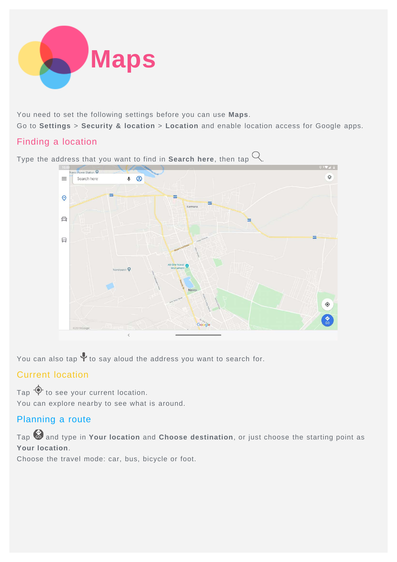![](_page_15_Picture_0.jpeg)

You need to set the following settings before you can use **Maps**.

Go to **Settings** > **Security & location** > **Location** and enable location access for Google apps.

# Finding a location

Type the address that you want to find in **Search here**, then tap  $Q$ .

![](_page_15_Figure_5.jpeg)

You can also tap  $\blacktriangledown$  to say aloud the address you want to search for.

# Current location

Tap  $\Phi$  to see your current location. You can explore nearby to see what is around.

# Planning a route

Tap **@** and type in **Your location** and **Choose destination**, or just choose the starting point as **Your location**.

Choose the travel mode: car, bus, bicycle or foot.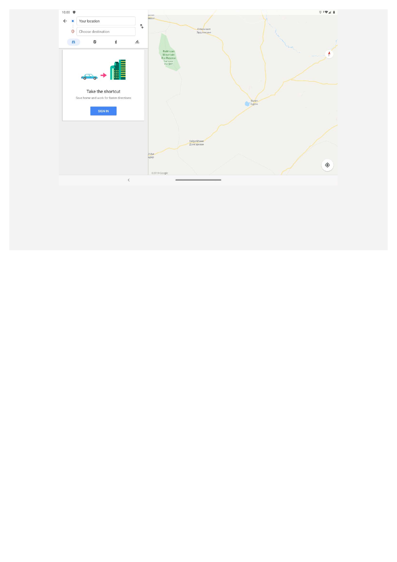![](_page_16_Figure_0.jpeg)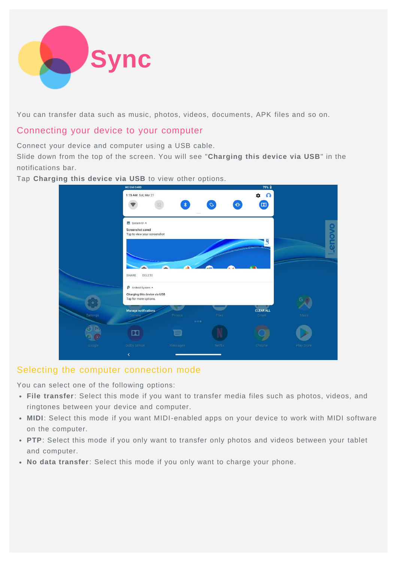![](_page_17_Picture_0.jpeg)

You can transfer data such as music, photos, videos, documents, APK files and so on.

## Connecting your device to your computer

Connect your device and computer using a USB cable.

Slide down from the top of the screen. You will see "**Charging this device via USB**" in the notifications bar.

Tap **Charging this device via USB** to view other options.

|          | <b>IND OTHER OWNER</b><br>1:15 AM Sat, Mar 21                                 | ∗                             |         | $12.0 \text{ m}$<br>$\Omega$<br>n<br>$\boxed{10}$ |            |
|----------|-------------------------------------------------------------------------------|-------------------------------|---------|---------------------------------------------------|------------|
|          | System UI ^<br>Screenshot saved<br>Tap to view your screenshot                |                               |         |                                                   |            |
|          |                                                                               |                               |         | ø                                                 | ovous.     |
|          | SHARE<br>DELETE<br>Android System ^                                           |                               |         | G.A                                               |            |
|          | Charging this device via USB<br>Tap for more options.<br>Manage notifications |                               |         | <b>CLEAR ALL</b>                                  |            |
| Settings | <b>Camera</b><br>$\boldsymbol{\Xi}$                                           | Photos<br>$\alpha \pm \alpha$ | Files   | Gmail                                             | Maps       |
| Google   | Dolby Atmos<br>$\overline{\left( \right. }%$                                  | Messages                      | Netflix | Chrome                                            | Play Store |

## Selecting the computer connection mode

You can select one of the following options:

- **File transfer**: Select this mode if you want to transfer media files such as photos, videos, and ringtones between your device and computer.
- **MIDI**: Select this mode if you want MIDI-enabled apps on your device to work with MIDI software on the computer.
- **PTP**: Select this mode if you only want to transfer only photos and videos between your tablet and computer.
- **No data transfer**: Select this mode if you only want to charge your phone.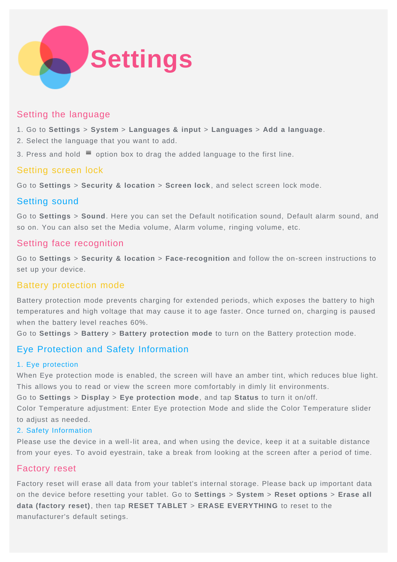![](_page_18_Picture_0.jpeg)

## Setting the language

- 1. Go to **Settings** > **System** > **Languages & input** > **Languages** > **Add a language**.
- 2. Select the language that you want to add.
- 3. Press and hold  $\equiv$  option box to drag the added language to the first line.

## Setting screen lock

Go to **Settings** > **Security & location** > **Screen lock** , and select screen lock mode.

# Setting sound

Go to **Settings** > **Sound**. Here you can set the Default notification sound, Default alarm sound, and so on. You can also set the Media volume, Alarm volume, ringing volume, etc.

## Setting face recognition

Go to **Settings** > **Security & location** > **Face-recognition** and follow the on-screen instructions to set up your device.

# Battery protection mode

Battery protection mode prevents charging for extended periods, which exposes the battery to high temperatures and high voltage that may cause it to age faster. Once turned on, charging is paused when the battery level reaches 60%.

Go to **Settings** > **Battery** > **Battery protection mode** to turn on the Battery protection mode.

# Eye Protection and Safety Information

#### 1. Eye protection

When Eye protection mode is enabled, the screen will have an amber tint, which reduces blue light. This allows you to read or view the screen more comfortably in dimly lit environments.

Go to **Settings** > **Display** > **Eye protection mode**, and tap **Status** to turn it on/off.

Color Temperature adjustment: Enter Eye protection Mode and slide the Color Temperature slider to adjust as needed.

#### 2. Safety Information

Please use the device in a well-lit area, and when using the device, keep it at a suitable distance from your eyes. To avoid eyestrain, take a break from looking at the screen after a period of time.

## Factory reset

Factory reset will erase all data from your tablet's internal storage. Please back up important data on the device before resetting your tablet. Go to **Settings** > **System** > **Reset options** > **Erase all data (factory reset)**, then tap **RESET TABLET** > **ERASE EVERYTHING** to reset to the manufacturer's default setings.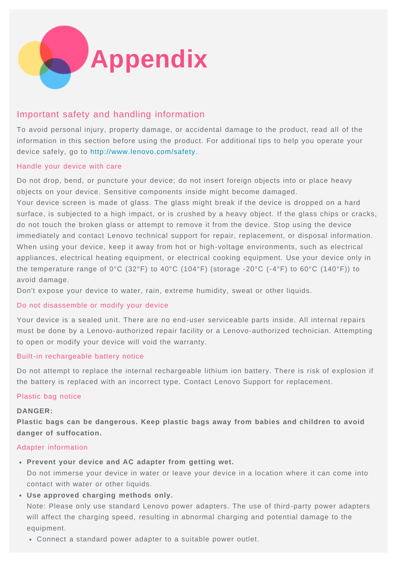![](_page_19_Picture_0.jpeg)

# Important safety and handling information

To avoid personal injury, property damage, or accidental damage to the product, read all of the information in this section before using the product. For additional tips to help you operate your device safely, go to <http://www.lenovo.com/safety> .

#### Handle your device with care

Do not drop, bend, or puncture your device; do not insert foreign objects into or place heavy objects on your device. Sensitive components inside might become damaged.

Your device screen is made of glass. The glass might break if the device is dropped on a hard surface, is subjected to a high impact, or is crushed by a heavy object. If the glass chips or cracks, do not touch the broken glass or attempt to remove it from the device. Stop using the device immediately and contact Lenovo technical support for repair, replacement, or disposal information. When using your device, keep it away from hot or high-voltage environments, such as electrical appliances, electrical heating equipment, or electrical cooking equipment. Use your device only in the temperature range of 0°C (32°F) to 40°C (104°F) (storage -20°C (-4°F) to 60°C (140°F)) to avoid damage.

Don't expose your device to water, rain, extreme humidity, sweat or other liquids.

#### Do not disassemble or modify your device

Your device is a sealed unit. There are no end-user serviceable parts inside. All internal repairs must be done by a Lenovo-authorized repair facility or a Lenovo-authorized technician. Attempting to open or modify your device will void the warranty.

#### Built-in rechargeable battery notice

Do not attempt to replace the internal rechargeable lithium ion battery. There is risk of explosion if the battery is replaced with an incorrect type. Contact Lenovo Support for replacement.

#### Plastic bag notice

#### **DANGER:**

**Plastic bags can be dangerous. Keep plastic bags away from babies and children to avoid danger of suffocation.**

#### Adapter information

**Prevent your device and AC adapter from getting wet.**

Do not immerse your device in water or leave your device in a location where it can come into contact with water or other liquids.

**Use approved charging methods only.**

Note: Please only use standard Lenovo power adapters. The use of third-party power adapters will affect the charging speed, resulting in abnormal charging and potential damage to the equipment.

Connect a standard power adapter to a suitable power outlet.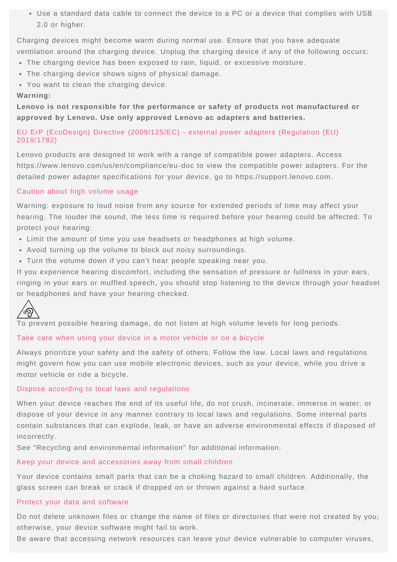Use a standard data cable to connect the device to a PC or a device that complies with USB 2.0 or higher.

Charging devices might become warm during normal use. Ensure that you have adequate ventilation around the charging device. Unplug the charging device if any of the following occurs:

- The charging device has been exposed to rain, liquid, or excessive moisture.
- The charging device shows signs of physical damage.
- You want to clean the charging device.

#### **Warning:**

**Lenovo is not responsible for the performance or safety of products not manufactured or approved by Lenovo. Use only approved Lenovo ac adapters and batteries.**

#### EU ErP (EcoDesign) Directive (2009/125/EC) - external power adapters (Regulation (EU) 2019/1782)

Lenovo products are designed to work with a range of compatible power adapters. Access https://www.lenovo.com/us/en/compliance/eu-doc to view the compatible power adapters. For the detailed power adapter specifications for your device, go to https://support.lenovo.com.

#### Caution about high volume usage

Warning: exposure to loud noise from any source for extended periods of time may affect your hearing. The louder the sound, the less time is required before your hearing could be affected. To protect your hearing:

- Limit the amount of time you use headsets or headphones at high volume.
- Avoid turning up the volume to block out noisy surroundings.
- Turn the volume down if you can't hear people speaking near you.

If you experience hearing discomfort, including the sensation of pressure or fullness in your ears, ringing in your ears or muffled speech, you should stop listening to the device through your headset or headphones and have your hearing checked.

![](_page_20_Picture_15.jpeg)

To prevent possible hearing damage, do not listen at high volume levels for long periods.

#### Take care when using your device in a motor vehicle or on a bicycle

Always prioritize your safety and the safety of others. Follow the law. Local laws and regulations might govern how you can use mobile electronic devices, such as your device, while you drive a motor vehicle or ride a bicycle.

#### Dispose according to local laws and regulations

When your device reaches the end of its useful life, do not crush, incinerate, immerse in water, or dispose of your device in any manner contrary to local laws and regulations. Some internal parts contain substances that can explode, leak, or have an adverse environmental effects if disposed of incorrectly.

See "Recycling and environmental information" for additional information.

#### Keep your device and accessories away from small children

Your device contains small parts that can be a choking hazard to small children. Additionally, the glass screen can break or crack if dropped on or thrown against a hard surface.

#### Protect your data and software

Do not delete unknown files or change the name of files or directories that were not created by you; otherwise, your device software might fail to work.

Be aware that accessing network resources can leave your device vulnerable to computer viruses,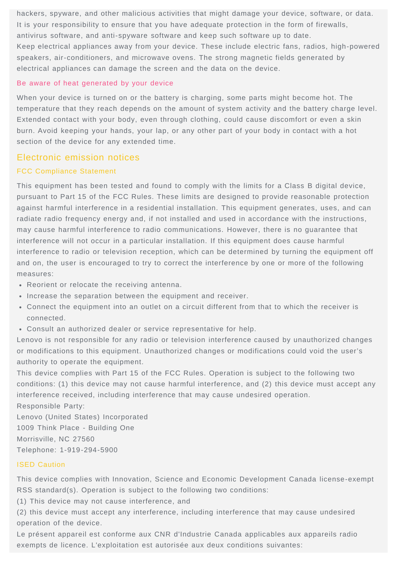hackers, spyware, and other malicious activities that might damage your device, software, or data. It is your responsibility to ensure that you have adequate protection in the form of firewalls, antivirus software, and anti-spyware software and keep such software up to date. Keep electrical appliances away from your device. These include electric fans, radios, high-powered speakers, air-conditioners, and microwave ovens. The strong magnetic fields generated by electrical appliances can damage the screen and the data on the device.

#### Be aware of heat generated by your device

When your device is turned on or the battery is charging, some parts might become hot. The temperature that they reach depends on the amount of system activity and the battery charge level. Extended contact with your body, even through clothing, could cause discomfort or even a skin burn. Avoid keeping your hands, your lap, or any other part of your body in contact with a hot section of the device for any extended time.

#### Electronic emission notices

#### FCC Compliance Statement

This equipment has been tested and found to comply with the limits for a Class B digital device, pursuant to Part 15 of the FCC Rules. These limits are designed to provide reasonable protection against harmful interference in a residential installation. This equipment generates, uses, and can radiate radio frequency energy and, if not installed and used in accordance with the instructions, may cause harmful interference to radio communications. However, there is no guarantee that interference will not occur in a particular installation. If this equipment does cause harmful interference to radio or television reception, which can be determined by turning the equipment off and on, the user is encouraged to try to correct the interference by one or more of the following measures:

- Reorient or relocate the receiving antenna.
- Increase the separation between the equipment and receiver.
- Connect the equipment into an outlet on a circuit different from that to which the receiver is connected.
- Consult an authorized dealer or service representative for help.

Lenovo is not responsible for any radio or television interference caused by unauthorized changes or modifications to this equipment. Unauthorized changes or modifications could void the user's authority to operate the equipment.

This device complies with Part 15 of the FCC Rules. Operation is subject to the following two conditions: (1) this device may not cause harmful interference, and (2) this device must accept any interference received, including interference that may cause undesired operation. Responsible Party:

Lenovo (United States) Incorporated 1009 Think Place - Building One Morrisville, NC 27560 Telephone: 1-919-294-5900

#### ISED Caution

This device complies with Innovation, Science and Economic Development Canada license-exempt RSS standard(s). Operation is subject to the following two conditions:

(1) This device may not cause interference, and

(2) this device must accept any interference, including interference that may cause undesired operation of the device.

Le présent appareil est conforme aux CNR d'Industrie Canada applicables aux appareils radio exempts de licence. L'exploitation est autorisée aux deux conditions suivantes: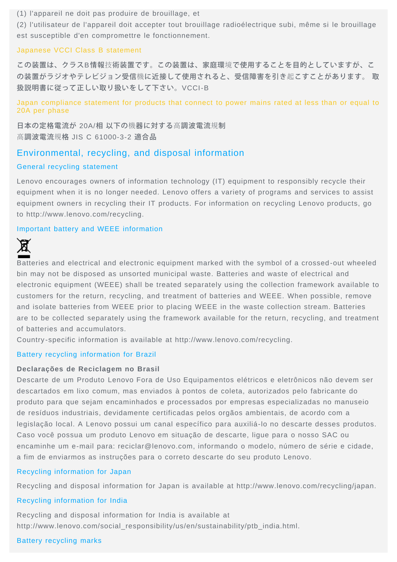(1) l'appareil ne doit pas produire de brouillage, et

(2) l'utilisateur de l'appareil doit accepter tout brouillage radioélectrique subi, même si le brouillage est susceptible d'en compromettre le fonctionnement.

#### Japanese VCCI Class B statement

この装置は、クラスB情報技術装置です。この装置は、家庭環境で使用することを目的としていますが、こ の装置がラジオやテレビジョン受信機に近接して使用されると、受信障害を引き起こすことがあります。 取 扱説明書に従って正しい取り扱いをして下さい。VCCI-B

Japan compliance statement for products that connect to power mains rated at less than or equal to 20A per phase

日本の定格電流が 20A/相 以下の機器に対する高調波電流規制 高調波電流規格 JIS C 61000-3-2 適合品

#### Environmental, recycling, and disposal information

#### General recycling statement

Lenovo encourages owners of information technology (IT) equipment to responsibly recycle their equipment when it is no longer needed. Lenovo offers a variety of programs and services to assist equipment owners in recycling their IT products. For information on recycling Lenovo products, go to http://www.lenovo.com/recycling.

#### Important battery and WEEE information

![](_page_22_Picture_10.jpeg)

Batteries and electrical and electronic equipment marked with the symbol of a crossed-out wheeled bin may not be disposed as unsorted municipal waste. Batteries and waste of electrical and electronic equipment (WEEE) shall be treated separately using the collection framework available to customers for the return, recycling, and treatment of batteries and WEEE. When possible, remove and isolate batteries from WEEE prior to placing WEEE in the waste collection stream. Batteries are to be collected separately using the framework available for the return, recycling, and treatment of batteries and accumulators.

Country-specific information is available at http://www.lenovo.com/recycling.

#### Battery recycling information for Brazil

#### **Declarações de Reciclagem no Brasil**

Descarte de um Produto Lenovo Fora de Uso Equipamentos elétricos e eletrônicos não devem ser descartados em lixo comum, mas enviados à pontos de coleta, autorizados pelo fabricante do produto para que sejam encaminhados e processados por empresas especializadas no manuseio de resíduos industriais, devidamente certificadas pelos orgãos ambientais, de acordo com a legislação local. A Lenovo possui um canal específico para auxiliá-lo no descarte desses produtos. Caso você possua um produto Lenovo em situação de descarte, ligue para o nosso SAC ou encaminhe um e-mail para: reciclar@lenovo.com, informando o modelo, número de série e cidade, a fim de enviarmos as instruções para o correto descarte do seu produto Lenovo.

#### Recycling information for Japan

Recycling and disposal information for Japan is available at http://www.lenovo.com/recycling/japan.

#### Recycling information for India

Recycling and disposal information for India is available at http://www.lenovo.com/social\_responsibility/us/en/sustainability/ptb\_india.html.

#### Battery recycling marks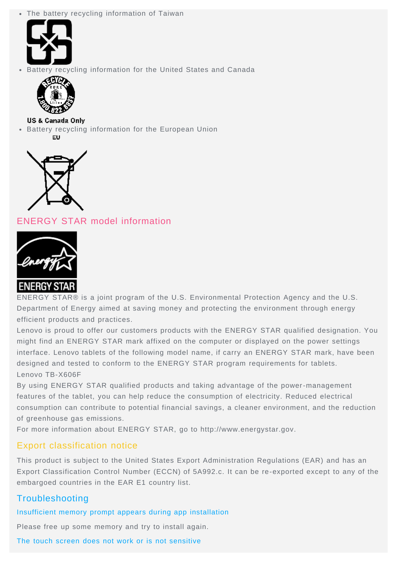The battery recycling information of Taiwan

![](_page_23_Picture_1.jpeg)

Battery recycling information for the United States and Canada

![](_page_23_Picture_3.jpeg)

**US & Canada Only** • Battery recycling information for the European Union

FU.

![](_page_23_Picture_6.jpeg)

ENERGY STAR model information

![](_page_23_Picture_8.jpeg)

ENERGY STAR® is a joint program of the U.S. Environmental Protection Agency and the U.S. Department of Energy aimed at saving money and protecting the environment through energy efficient products and practices.

Lenovo is proud to offer our customers products with the ENERGY STAR qualified designation. You might find an ENERGY STAR mark affixed on the computer or displayed on the power settings interface. Lenovo tablets of the following model name, if carry an ENERGY STAR mark, have been designed and tested to conform to the ENERGY STAR program requirements for tablets. Lenovo TB-X606F

By using ENERGY STAR qualified products and taking advantage of the power-management features of the tablet, you can help reduce the consumption of electricity. Reduced electrical consumption can contribute to potential financial savings, a cleaner environment, and the reduction of greenhouse gas emissions.

For more information about ENERGY STAR, go to http://www.energystar.gov.

# Export classification notice

This product is subject to the United States Export Administration Regulations (EAR) and has an Export Classification Control Number (ECCN) of 5A992.c. It can be re-exported except to any of the embargoed countries in the EAR E1 country list.

# Troubleshooting

Insufficient memory prompt appears during app installation

Please free up some memory and try to install again.

The touch screen does not work or is not sensitive